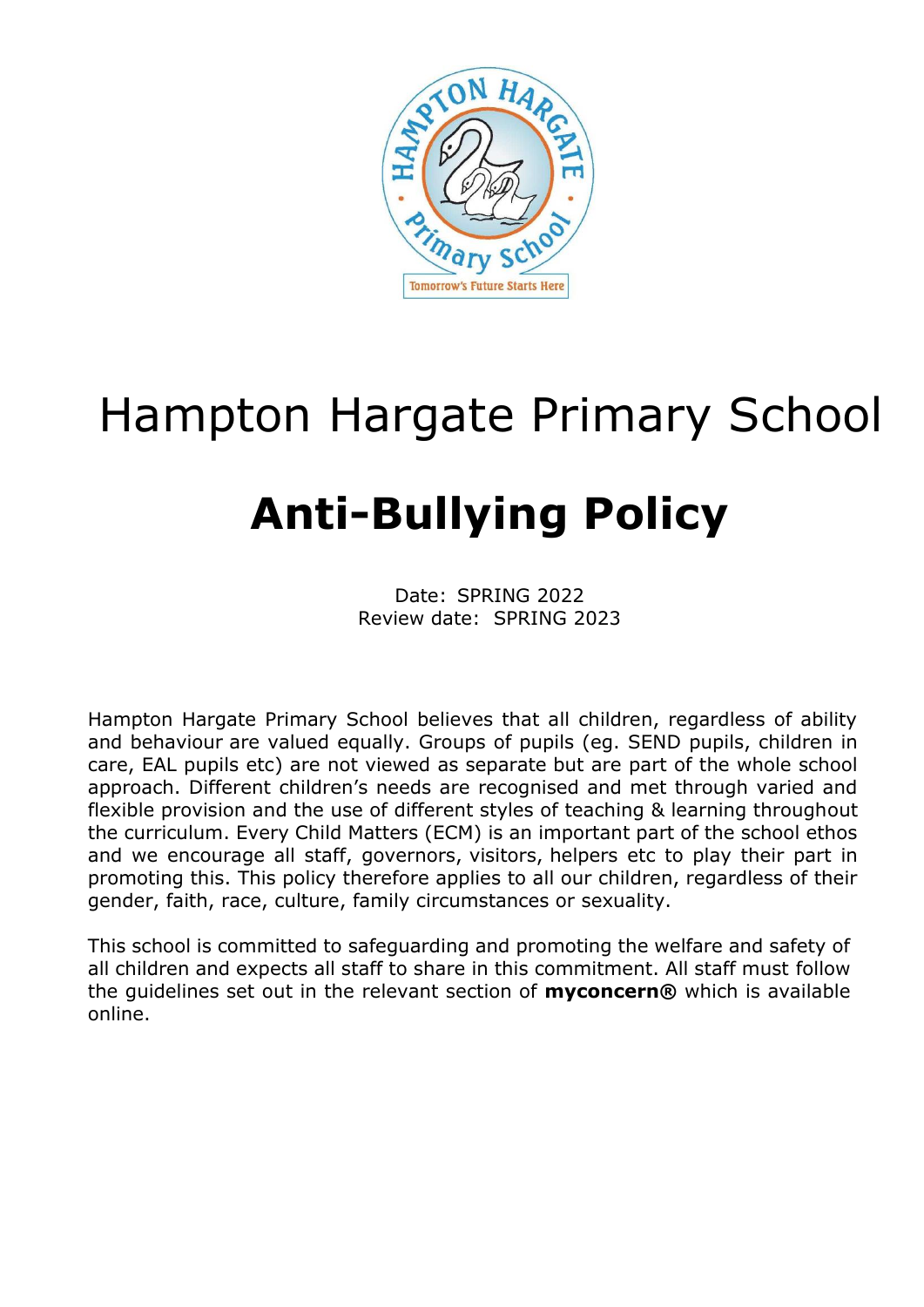

# Hampton Hargate Primary School

# **Anti-Bullying Policy**

Date: SPRING 2022 Review date: SPRING 2023

Hampton Hargate Primary School believes that all children, regardless of ability and behaviour are valued equally. Groups of pupils (eg. SEND pupils, children in care, EAL pupils etc) are not viewed as separate but are part of the whole school approach. Different children's needs are recognised and met through varied and flexible provision and the use of different styles of teaching & learning throughout the curriculum. Every Child Matters (ECM) is an important part of the school ethos and we encourage all staff, governors, visitors, helpers etc to play their part in promoting this. This policy therefore applies to all our children, regardless of their gender, faith, race, culture, family circumstances or sexuality.

This school is committed to safeguarding and promoting the welfare and safety of all children and expects all staff to share in this commitment. All staff must follow the guidelines set out in the relevant section of **myconcern®** which is available online.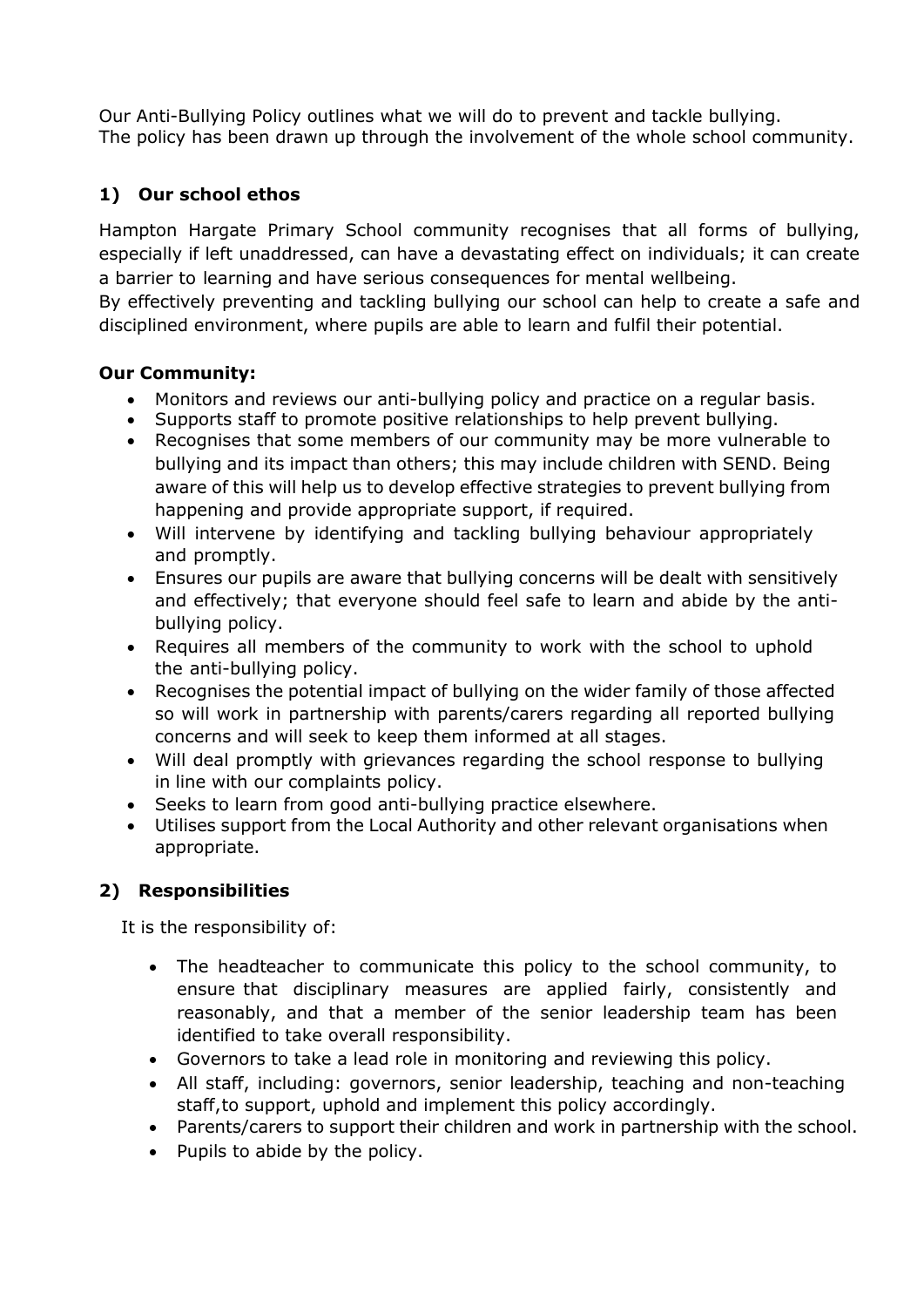Our Anti-Bullying Policy outlines what we will do to prevent and tackle bullying. The policy has been drawn up through the involvement of the whole school community.

# **1) Our school ethos**

Hampton Hargate Primary School community recognises that all forms of bullying, especially if left unaddressed, can have a devastating effect on individuals; it can create a barrier to learning and have serious consequences for mental wellbeing.

By effectively preventing and tackling bullying our school can help to create a safe and disciplined environment, where pupils are able to learn and fulfil their potential.

## **Our Community:**

- Monitors and reviews our anti-bullying policy and practice on a regular basis.
- Supports staff to promote positive relationships to help prevent bullying.
- Recognises that some members of our community may be more vulnerable to bullying and its impact than others; this may include children with SEND. Being aware of this will help us to develop effective strategies to prevent bullying from happening and provide appropriate support, if required.
- Will intervene by identifying and tackling bullying behaviour appropriately and promptly.
- Ensures our pupils are aware that bullying concerns will be dealt with sensitively and effectively; that everyone should feel safe to learn and abide by the antibullying policy.
- Requires all members of the community to work with the school to uphold the anti-bullying policy.
- Recognises the potential impact of bullying on the wider family of those affected so will work in partnership with parents/carers regarding all reported bullying concerns and will seek to keep them informed at all stages.
- Will deal promptly with grievances regarding the school response to bullying in line with our complaints policy.
- Seeks to learn from good anti-bullying practice elsewhere.
- Utilises support from the Local Authority and other relevant organisations when appropriate.

# **2) Responsibilities**

It is the responsibility of:

- The headteacher to communicate this policy to the school community, to ensure that disciplinary measures are applied fairly, consistently and reasonably, and that a member of the senior leadership team has been identified to take overall responsibility.
- Governors to take a lead role in monitoring and reviewing this policy.
- All staff, including: governors, senior leadership, teaching and non-teaching staff,to support, uphold and implement this policy accordingly.
- Parents/carers to support their children and work in partnership with the school.
- Pupils to abide by the policy.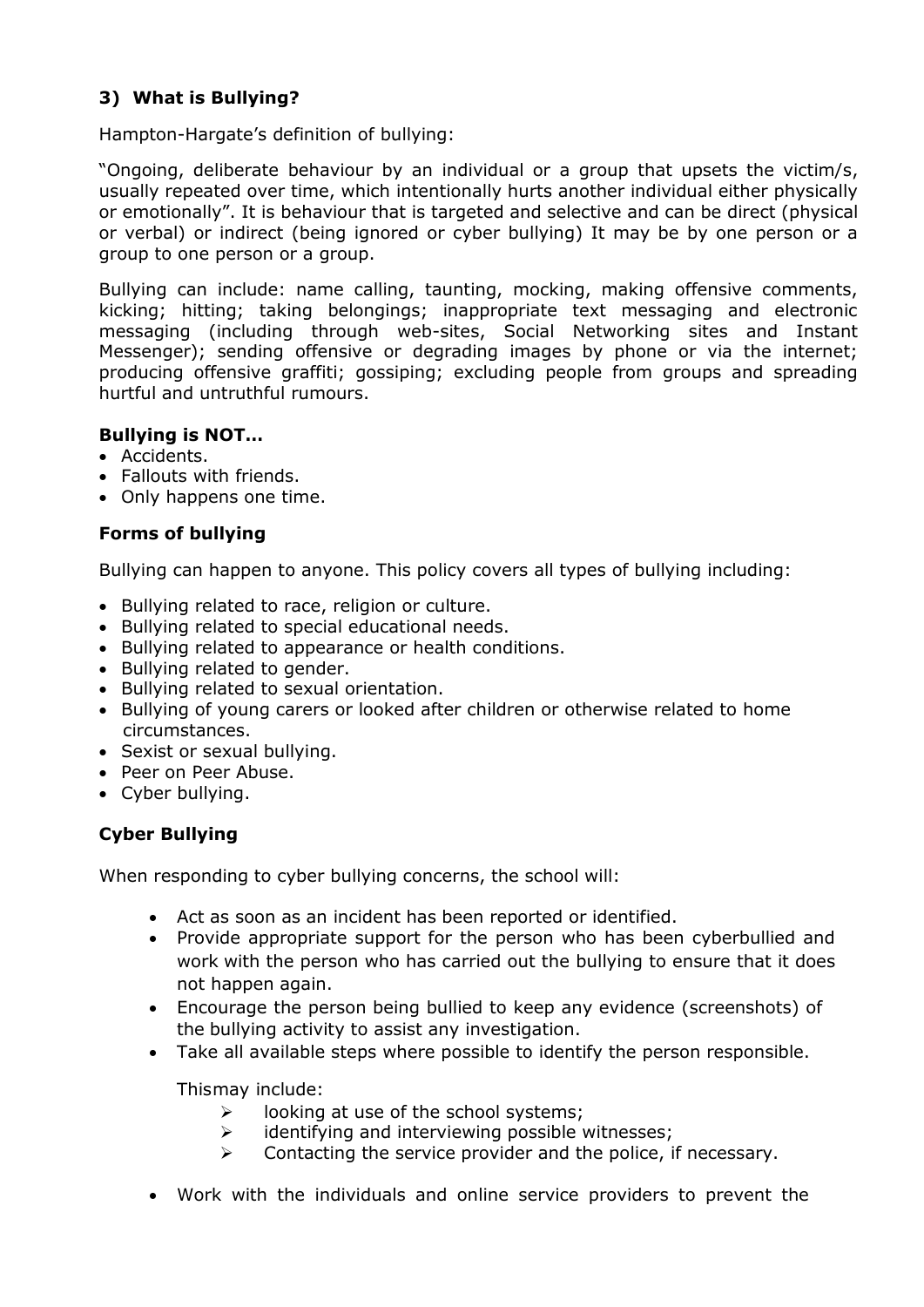## **3) What is Bullying?**

Hampton-Hargate's definition of bullying:

"Ongoing, deliberate behaviour by an individual or a group that upsets the victim/s, usually repeated over time, which intentionally hurts another individual either physically or emotionally". It is behaviour that is targeted and selective and can be direct (physical or verbal) or indirect (being ignored or cyber bullying) It may be by one person or a group to one person or a group.

Bullying can include: name calling, taunting, mocking, making offensive comments, kicking; hitting; taking belongings; inappropriate text messaging and electronic messaging (including through web-sites, Social Networking sites and Instant Messenger); sending offensive or degrading images by phone or via the internet; producing offensive graffiti; gossiping; excluding people from groups and spreading hurtful and untruthful rumours.

#### **Bullying is NOT…**

- Accidents.
- Fallouts with friends.
- Only happens one time.

#### **Forms of bullying**

Bullying can happen to anyone. This policy covers all types of bullying including:

- Bullying related to race, religion or culture.
- Bullying related to special educational needs.
- Bullying related to appearance or health conditions.
- Bullying related to gender.
- Bullying related to sexual orientation.
- Bullying of young carers or looked after children or otherwise related to home circumstances.
- Sexist or sexual bullying.
- Peer on Peer Abuse.
- Cyber bullying.

## **Cyber Bullying**

When responding to cyber bullying concerns, the school will:

- Act as soon as an incident has been reported or identified.
- Provide appropriate support for the person who has been cyberbullied and work with the person who has carried out the bullying to ensure that it does not happen again.
- Encourage the person being bullied to keep any evidence (screenshots) of the bullying activity to assist any investigation.
- Take all available steps where possible to identify the person responsible.

Thismay include:

- $\triangleright$  looking at use of the school systems;
- ➢ identifying and interviewing possible witnesses;
- $\triangleright$  Contacting the service provider and the police, if necessary.
- Work with the individuals and online service providers to prevent the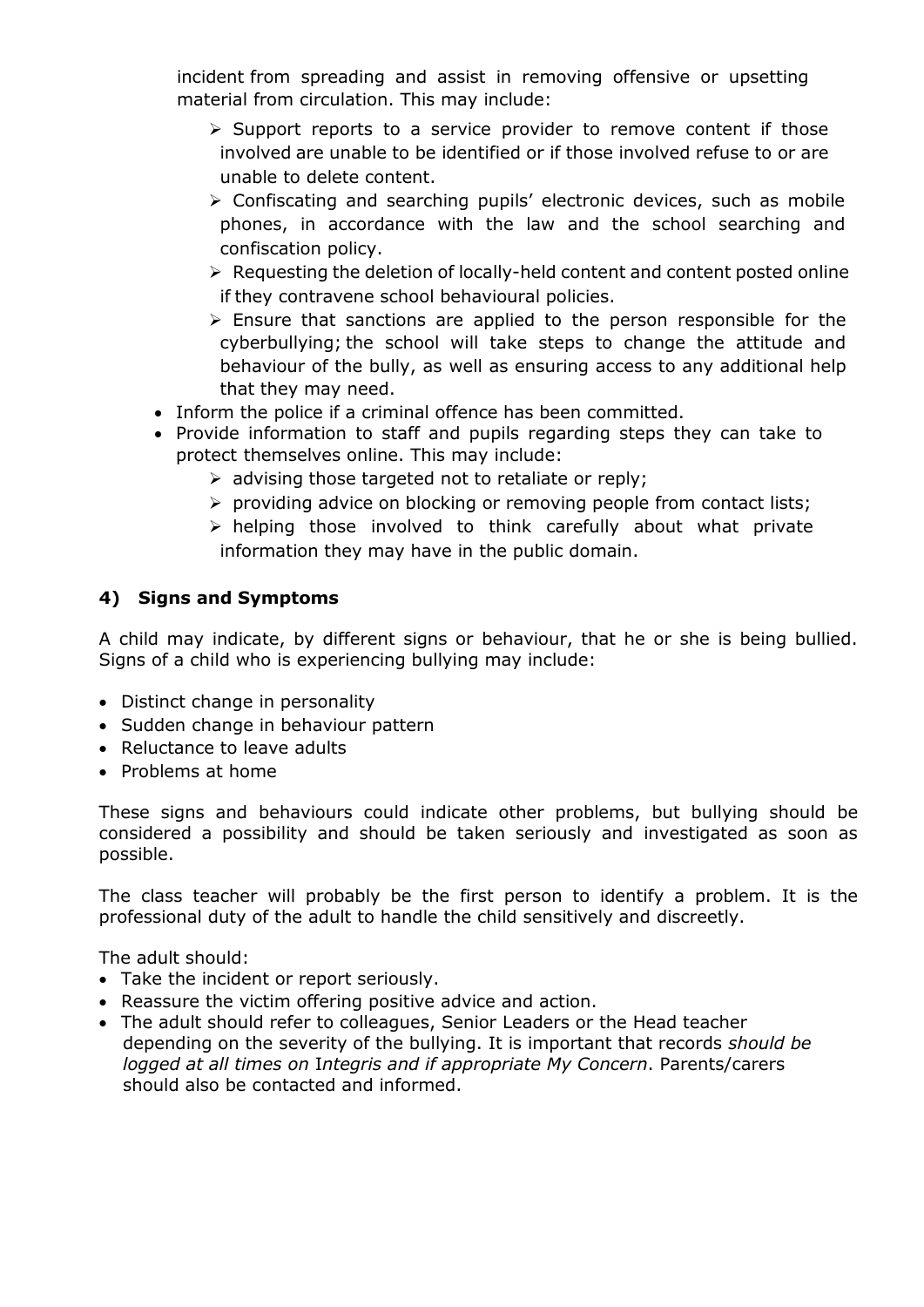incident from spreading and assist in removing offensive or upsetting material from circulation. This may include:

- ➢ Support reports to a service provider to remove content if those involved are unable to be identified or if those involved refuse to or are unable to delete content.
- ➢ Confiscating and searching pupils' electronic devices, such as mobile phones, in accordance with the law and the school searching and confiscation policy.
- ➢ Requesting the deletion of locally-held content and content posted online if they contravene school behavioural policies.
- $\triangleright$  Ensure that sanctions are applied to the person responsible for the cyberbullying; the school will take steps to change the attitude and behaviour of the bully, as well as ensuring access to any additional help that they may need.
- Inform the police if a criminal offence has been committed.
- Provide information to staff and pupils regarding steps they can take to protect themselves online. This may include:
	- ➢ advising those targeted not to retaliate or reply;
	- ➢ providing advice on blocking or removing people from contact lists;
	- $\triangleright$  helping those involved to think carefully about what private information they may have in the public domain.

### **4) Signs and Symptoms**

A child may indicate, by different signs or behaviour, that he or she is being bullied. Signs of a child who is experiencing bullying may include:

- Distinct change in personality
- Sudden change in behaviour pattern
- Reluctance to leave adults
- Problems at home

These signs and behaviours could indicate other problems, but bullying should be considered a possibility and should be taken seriously and investigated as soon as possible.

The class teacher will probably be the first person to identify a problem. It is the professional duty of the adult to handle the child sensitively and discreetly.

The adult should:

- Take the incident or report seriously.
- Reassure the victim offering positive advice and action.
- The adult should refer to colleagues, Senior Leaders or the Head teacher depending on the severity of the bullying. It is important that records *should be logged at all times on* I*ntegris and if appropriate My Concern*. Parents/carers should also be contacted and informed.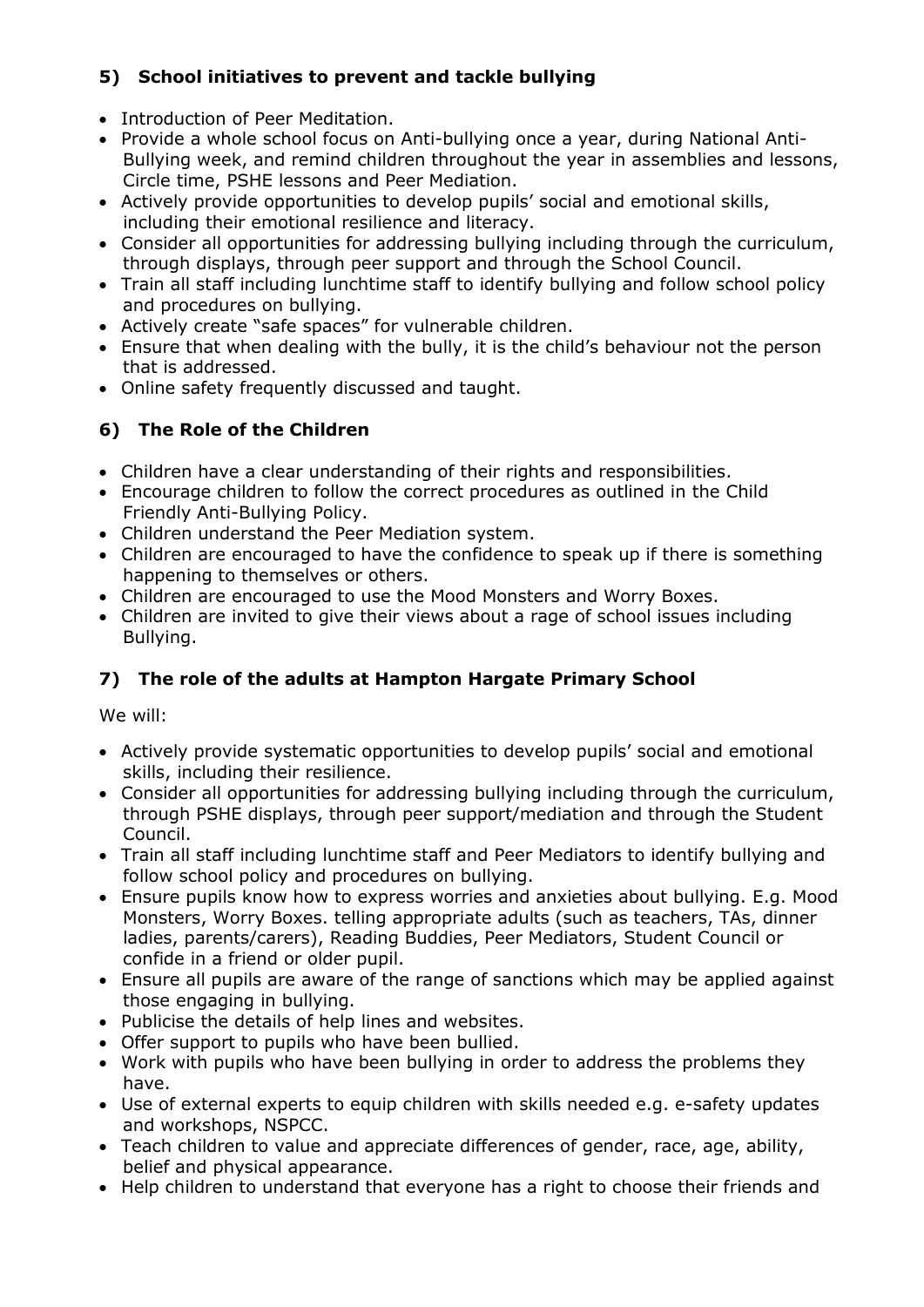# **5) School initiatives to prevent and tackle bullying**

- Introduction of Peer Meditation.
- Provide a whole school focus on Anti-bullying once a year, during National Anti- Bullying week, and remind children throughout the year in assemblies and lessons, Circle time, PSHE lessons and Peer Mediation.
- Actively provide opportunities to develop pupils' social and emotional skills, including their emotional resilience and literacy.
- Consider all opportunities for addressing bullying including through the curriculum, through displays, through peer support and through the School Council.
- Train all staff including lunchtime staff to identify bullying and follow school policy and procedures on bullying.
- Actively create "safe spaces" for vulnerable children.
- Ensure that when dealing with the bully, it is the child's behaviour not the person that is addressed.
- Online safety frequently discussed and taught.

# **6) The Role of the Children**

- Children have a clear understanding of their rights and responsibilities.
- Encourage children to follow the correct procedures as outlined in the Child Friendly Anti-Bullying Policy.
- Children understand the Peer Mediation system.
- Children are encouraged to have the confidence to speak up if there is something happening to themselves or others.
- Children are encouraged to use the Mood Monsters and Worry Boxes.
- Children are invited to give their views about a rage of school issues including Bullying.

# **7) The role of the adults at Hampton Hargate Primary School**

We will:

- Actively provide systematic opportunities to develop pupils' social and emotional skills, including their resilience.
- Consider all opportunities for addressing bullying including through the curriculum, through PSHE displays, through peer support/mediation and through the Student Council.
- Train all staff including lunchtime staff and Peer Mediators to identify bullying and follow school policy and procedures on bullying.
- Ensure pupils know how to express worries and anxieties about bullying. E.g. Mood Monsters, Worry Boxes. telling appropriate adults (such as teachers, TAs, dinner ladies, parents/carers), Reading Buddies, Peer Mediators, Student Council or confide in a friend or older pupil.
- Ensure all pupils are aware of the range of sanctions which may be applied against those engaging in bullying.
- Publicise the details of help lines and websites.
- Offer support to pupils who have been bullied.
- Work with pupils who have been bullying in order to address the problems they have.
- Use of external experts to equip children with skills needed e.g. e-safety updates and workshops, NSPCC.
- Teach children to value and appreciate differences of gender, race, age, ability, belief and physical appearance.
- Help children to understand that everyone has a right to choose their friends and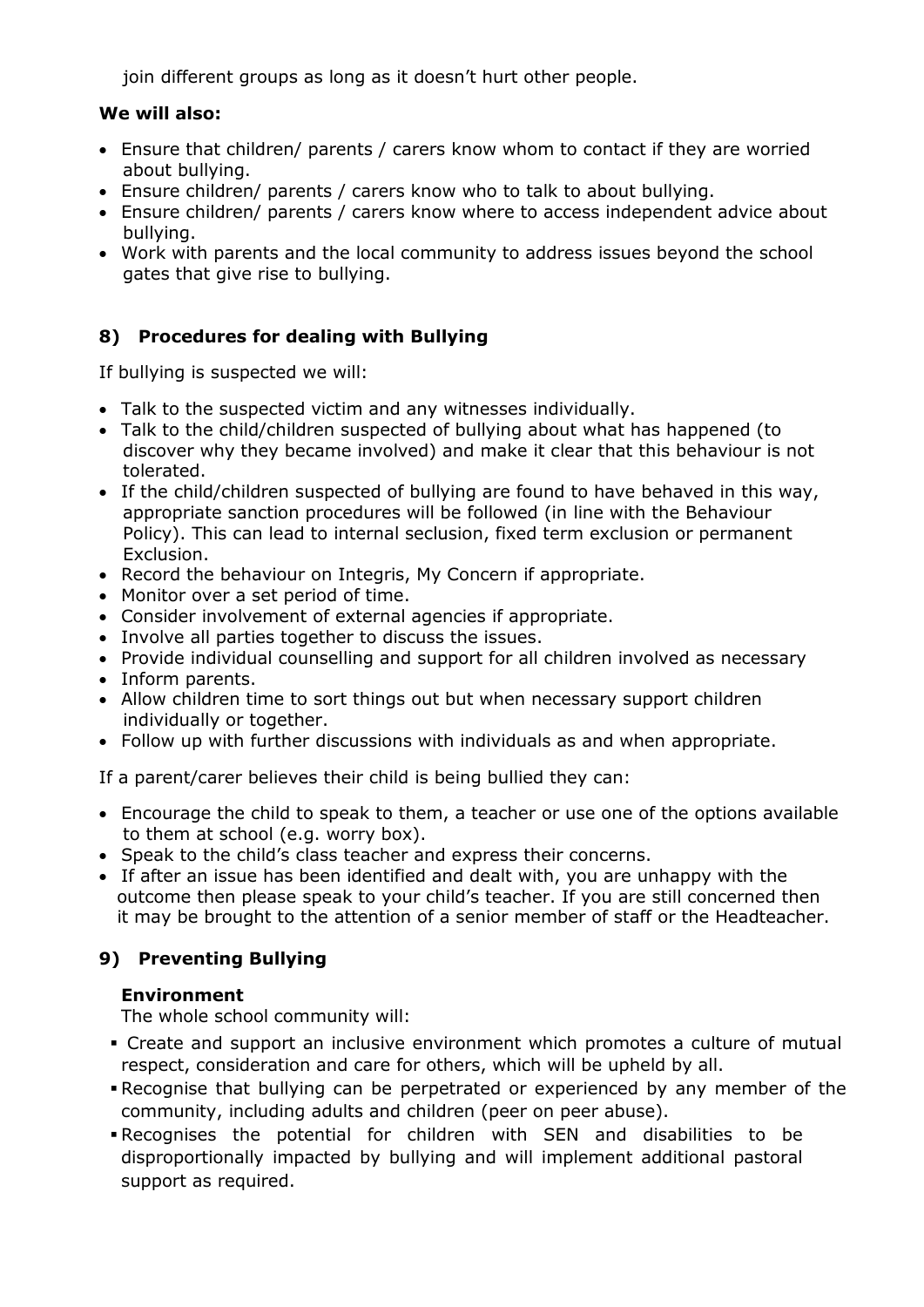join different groups as long as it doesn't hurt other people.

### **We will also:**

- Ensure that children/ parents / carers know whom to contact if they are worried about bullying.
- Ensure children/ parents / carers know who to talk to about bullying.
- Ensure children/ parents / carers know where to access independent advice about bullying.
- Work with parents and the local community to address issues beyond the school gates that give rise to bullying.

# **8) Procedures for dealing with Bullying**

If bullying is suspected we will:

- Talk to the suspected victim and any witnesses individually.
- Talk to the child/children suspected of bullying about what has happened (to discover why they became involved) and make it clear that this behaviour is not tolerated.
- If the child/children suspected of bullying are found to have behaved in this way, appropriate sanction procedures will be followed (in line with the Behaviour Policy). This can lead to internal seclusion, fixed term exclusion or permanent Exclusion.
- Record the behaviour on Integris, My Concern if appropriate.
- Monitor over a set period of time.
- Consider involvement of external agencies if appropriate.
- Involve all parties together to discuss the issues.
- Provide individual counselling and support for all children involved as necessary
- Inform parents.
- Allow children time to sort things out but when necessary support children individually or together.
- Follow up with further discussions with individuals as and when appropriate.

If a parent/carer believes their child is being bullied they can:

- Encourage the child to speak to them, a teacher or use one of the options available to them at school (e.g. worry box).
- Speak to the child's class teacher and express their concerns.
- If after an issue has been identified and dealt with, you are unhappy with the outcome then please speak to your child's teacher. If you are still concerned then it may be brought to the attention of a senior member of staff or the Headteacher.

# **9) Preventing Bullying**

## **Environment**

The whole school community will:

- Create and support an inclusive environment which promotes a culture of mutual respect, consideration and care for others, which will be upheld by all.
- Recognise that bullying can be perpetrated or experienced by any member of the community, including adults and children (peer on peer abuse).
- Recognises the potential for children with SEN and disabilities to be disproportionally impacted by bullying and will implement additional pastoral support as required.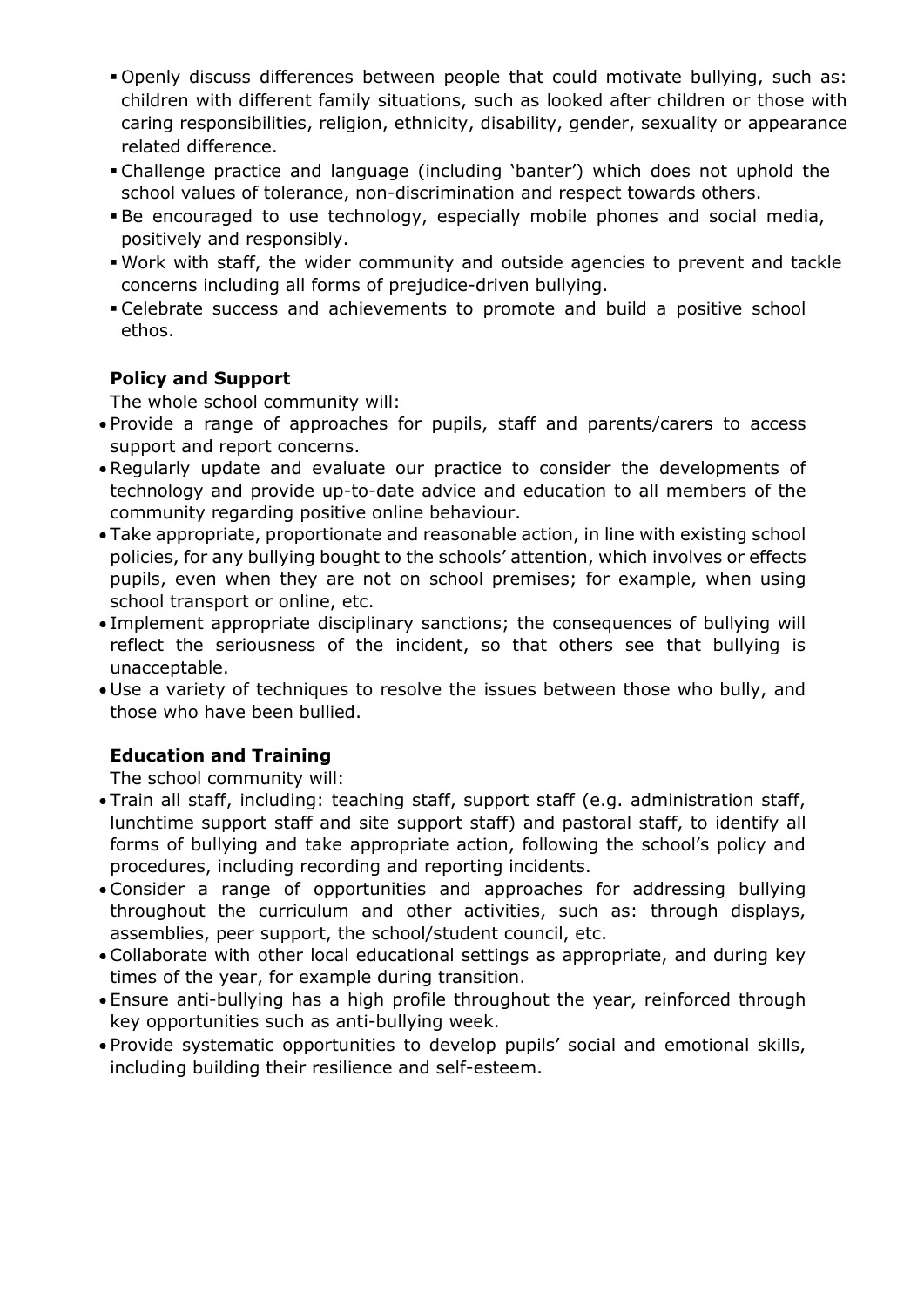- Openly discuss differences between people that could motivate bullying, such as: children with different family situations, such as looked after children or those with caring responsibilities, religion, ethnicity, disability, gender, sexuality or appearance related difference.
- Challenge practice and language (including 'banter') which does not uphold the school values of tolerance, non-discrimination and respect towards others.
- Be encouraged to use technology, especially mobile phones and social media, positively and responsibly.
- Work with staff, the wider community and outside agencies to prevent and tackle concerns including all forms of prejudice-driven bullying.
- Celebrate success and achievements to promote and build a positive school ethos.

# **Policy and Support**

The whole school community will:

- Provide a range of approaches for pupils, staff and parents/carers to access support and report concerns.
- Regularly update and evaluate our practice to consider the developments of technology and provide up-to-date advice and education to all members of the community regarding positive online behaviour.
- Take appropriate, proportionate and reasonable action, in line with existing school policies, for any bullying bought to the schools' attention, which involves or effects pupils, even when they are not on school premises; for example, when using school transport or online, etc.
- Implement appropriate disciplinary sanctions; the consequences of bullying will reflect the seriousness of the incident, so that others see that bullying is unacceptable.
- Use a variety of techniques to resolve the issues between those who bully, and those who have been bullied.

# **Education and Training**

The school community will:

- Train all staff, including: teaching staff, support staff (e.g. administration staff, lunchtime support staff and site support staff) and pastoral staff, to identify all forms of bullying and take appropriate action, following the school's policy and procedures, including recording and reporting incidents.
- Consider a range of opportunities and approaches for addressing bullying throughout the curriculum and other activities, such as: through displays, assemblies, peer support, the school/student council, etc.
- Collaborate with other local educational settings as appropriate, and during key times of the year, for example during transition.
- Ensure anti-bullying has a high profile throughout the year, reinforced through key opportunities such as anti-bullying week.
- Provide systematic opportunities to develop pupils' social and emotional skills, including building their resilience and self-esteem.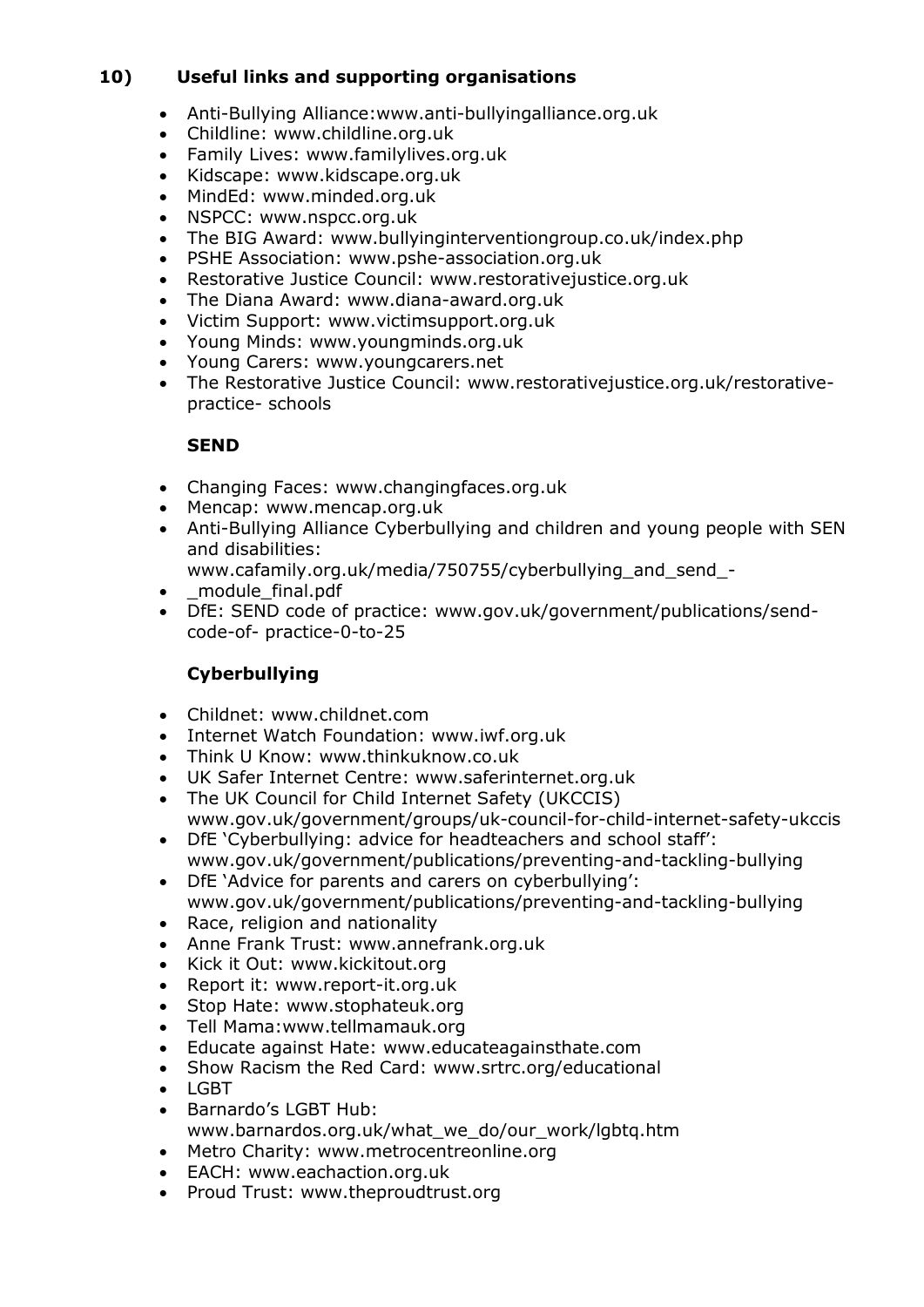## **10) Useful links and supporting organisations**

- Anti-Bullying Alliance:www.anti-bullyingalliance.org.uk
- Childline: www.childline.org.uk
- Family Lives: www.familylives.org.uk
- Kidscape: www.kidscape.org.uk
- MindEd: www.minded.org.uk
- NSPCC: www.nspcc.org.uk
- The BIG Award: www.bullyinginterventiongroup.co.uk/index.php
- PSHE Association: www.pshe-association.org.uk
- Restorative Justice Council: www.restorativejustice.org.uk
- The Diana Award: www.diana-award.org.uk
- Victim Support: www.victimsupport.org.uk
- Young Minds: www.youngminds.org.uk
- Young Carers: www.youngcarers.net
- The Restorative Justice Council: www.restorativejustice.org.uk/restorativepractice- schools

### **SEND**

- Changing Faces: www.changingfaces.org.uk
- Mencap: www.mencap.org.uk
- Anti-Bullying Alliance Cyberbullying and children and young people with SEN and disabilities:
	- www.cafamily.org.uk/media/750755/cyberbullying\_and\_send\_-
- \_module\_final.pdf
- DfE: SEND code of practice: www.gov.uk/government/publications/sendcode-of- practice-0-to-25

## **Cyberbullying**

- Childnet: www.childnet.com
- Internet Watch Foundation: www.iwf.org.uk
- Think U Know: www.thinkuknow.co.uk
- UK Safer Internet Centre: www.saferinternet.org.uk
- The UK Council for Child Internet Safety (UKCCIS) www.gov.uk/government/groups/uk-council-for-child-internet-safety-ukccis
- DfE 'Cyberbullying: advice for headteachers and school staff': www.gov.uk/government/publications/preventing-and-tackling-bullying
- DfE 'Advice for parents and carers on cyberbullying': www.gov.uk/government/publications/preventing-and-tackling-bullying
- Race, religion and nationality
- Anne Frank Trust: www.annefrank.org.uk
- Kick it Out: www.kickitout.org
- Report it: www.report-it.org.uk
- Stop Hate: www.stophateuk.org
- Tell Mama:www.tellmamauk.org
- Educate against Hate: www.educateagainsthate.com
- Show Racism the Red Card: www.srtrc.org/educational
- LGBT
- Barnardo's LGBT Hub: www.barnardos.org.uk/what\_we\_do/our\_work/lgbtg.htm
- Metro Charity: www.metrocentreonline.org
- EACH: www.eachaction.org.uk
- Proud Trust: www.theproudtrust.org